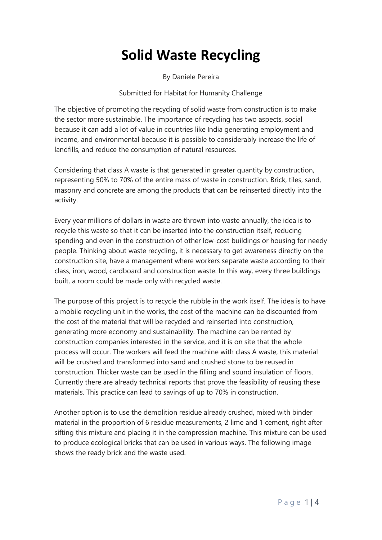# **Solid Waste Recycling**

By Daniele Pereira

Submitted for Habitat for Humanity Challenge

The objective of promoting the recycling of solid waste from construction is to make the sector more sustainable. The importance of recycling has two aspects, social because it can add a lot of value in countries like India generating employment and income, and environmental because it is possible to considerably increase the life of landfills, and reduce the consumption of natural resources.

Considering that class A waste is that generated in greater quantity by construction, representing 50% to 70% of the entire mass of waste in construction. Brick, tiles, sand, masonry and concrete are among the products that can be reinserted directly into the activity.

Every year millions of dollars in waste are thrown into waste annually, the idea is to recycle this waste so that it can be inserted into the construction itself, reducing spending and even in the construction of other low-cost buildings or housing for needy people. Thinking about waste recycling, it is necessary to get awareness directly on the construction site, have a management where workers separate waste according to their class, iron, wood, cardboard and construction waste. In this way, every three buildings built, a room could be made only with recycled waste.

The purpose of this project is to recycle the rubble in the work itself. The idea is to have a mobile recycling unit in the works, the cost of the machine can be discounted from the cost of the material that will be recycled and reinserted into construction, generating more economy and sustainability. The machine can be rented by construction companies interested in the service, and it is on site that the whole process will occur. The workers will feed the machine with class A waste, this material will be crushed and transformed into sand and crushed stone to be reused in construction. Thicker waste can be used in the filling and sound insulation of floors. Currently there are already technical reports that prove the feasibility of reusing these materials. This practice can lead to savings of up to 70% in construction.

Another option is to use the demolition residue already crushed, mixed with binder material in the proportion of 6 residue measurements, 2 lime and 1 cement, right after sifting this mixture and placing it in the compression machine. This mixture can be used to produce ecological bricks that can be used in various ways. The following image shows the ready brick and the waste used.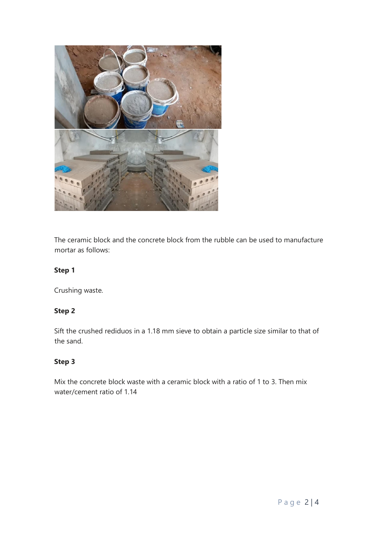

The ceramic block and the concrete block from the rubble can be used to manufacture mortar as follows:

## **Step 1**

Crushing waste.

## **Step 2**

Sift the crushed rediduos in a 1.18 mm sieve to obtain a particle size similar to that of the sand.

## **Step 3**

Mix the concrete block waste with a ceramic block with a ratio of 1 to 3. Then mix water/cement ratio of 1.14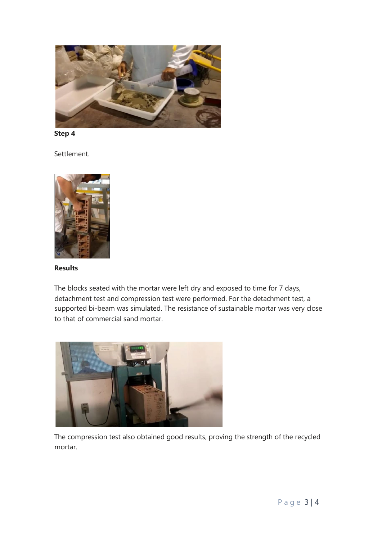

**Step 4**

Settlement.



### **Results**

The blocks seated with the mortar were left dry and exposed to time for 7 days, detachment test and compression test were performed. For the detachment test, a supported bi-beam was simulated. The resistance of sustainable mortar was very close to that of commercial sand mortar.



The compression test also obtained good results, proving the strength of the recycled mortar.